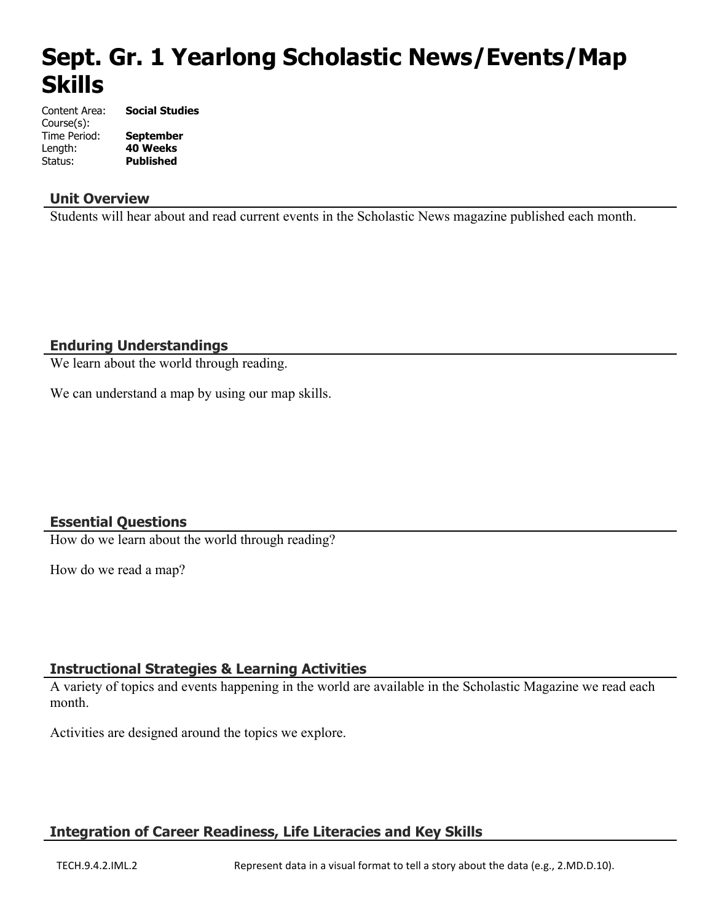# **Sept. Gr. 1 Yearlong Scholastic News/Events/Map Skills**

| Content Area: | <b>Social Studies</b> |
|---------------|-----------------------|
| Course(s):    |                       |
| Time Period:  | <b>September</b>      |
| Length:       | <b>40 Weeks</b>       |
| Status:       | <b>Published</b>      |

#### **Unit Overview**

Students will hear about and read current events in the Scholastic News magazine published each month.

#### **Enduring Understandings**

We learn about the world through reading.

We can understand a map by using our map skills.

#### **Essential Questions**

How do we learn about the world through reading?

How do we read a map?

#### **Instructional Strategies & Learning Activities**

A variety of topics and events happening in the world are available in the Scholastic Magazine we read each month.

Activities are designed around the topics we explore.

# **Integration of Career Readiness, Life Literacies and Key Skills**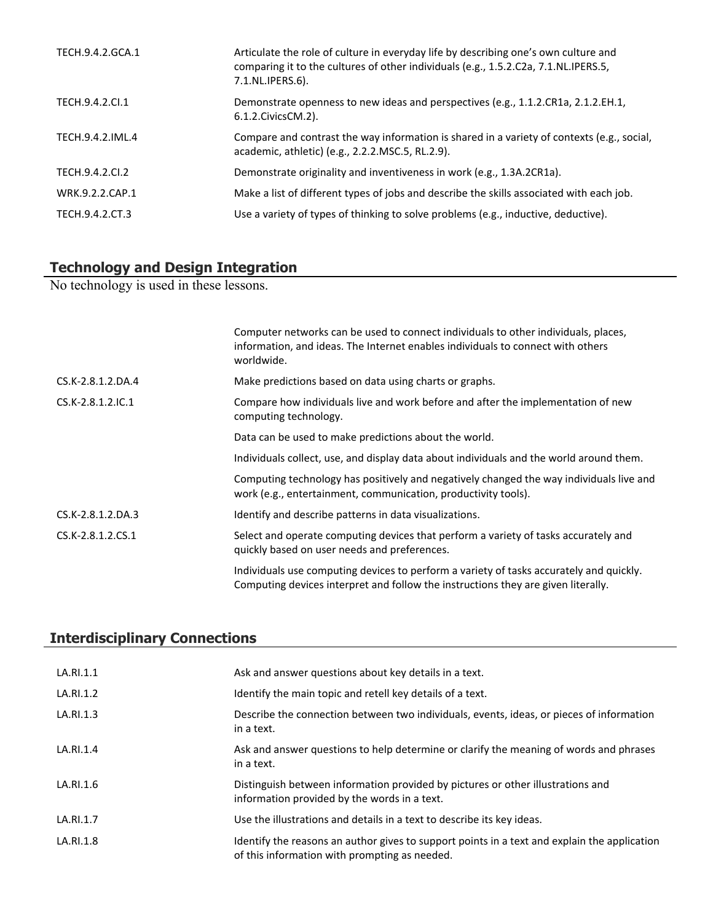| TECH.9.4.2.GCA.1 | Articulate the role of culture in everyday life by describing one's own culture and<br>comparing it to the cultures of other individuals (e.g., 1.5.2.C2a, 7.1.NL.IPERS.5,<br>7.1.NL.IPERS.6). |
|------------------|------------------------------------------------------------------------------------------------------------------------------------------------------------------------------------------------|
| TECH.9.4.2.Cl.1  | Demonstrate openness to new ideas and perspectives (e.g., 1.1.2.CR1a, 2.1.2.EH.1,<br>6.1.2. Civics CM. 2).                                                                                     |
| TECH.9.4.2.IML.4 | Compare and contrast the way information is shared in a variety of contexts (e.g., social,<br>academic, athletic) (e.g., 2.2.2.MSC.5, RL.2.9).                                                 |
| TECH.9.4.2.CI.2  | Demonstrate originality and inventiveness in work (e.g., 1.3A.2CR1a).                                                                                                                          |
| WRK.9.2.2.CAP.1  | Make a list of different types of jobs and describe the skills associated with each job.                                                                                                       |
| TECH.9.4.2.CT.3  | Use a variety of types of thinking to solve problems (e.g., inductive, deductive).                                                                                                             |

## **Technology and Design Integration**

No technology is used in these lessons.

|                   | Computer networks can be used to connect individuals to other individuals, places,<br>information, and ideas. The Internet enables individuals to connect with others<br>worldwide. |
|-------------------|-------------------------------------------------------------------------------------------------------------------------------------------------------------------------------------|
| CS.K-2.8.1.2.DA.4 | Make predictions based on data using charts or graphs.                                                                                                                              |
| CS.K-2.8.1.2.IC.1 | Compare how individuals live and work before and after the implementation of new<br>computing technology.                                                                           |
|                   | Data can be used to make predictions about the world.                                                                                                                               |
|                   | Individuals collect, use, and display data about individuals and the world around them.                                                                                             |
|                   | Computing technology has positively and negatively changed the way individuals live and<br>work (e.g., entertainment, communication, productivity tools).                           |
| CS.K-2.8.1.2.DA.3 | Identify and describe patterns in data visualizations.                                                                                                                              |
| CS.K-2.8.1.2.CS.1 | Select and operate computing devices that perform a variety of tasks accurately and<br>quickly based on user needs and preferences.                                                 |
|                   | Individuals use computing devices to perform a variety of tasks accurately and quickly.<br>Computing devices interpret and follow the instructions they are given literally.        |

# **Interdisciplinary Connections**

| LA.RI.1.1 | Ask and answer questions about key details in a text.                                                                                         |
|-----------|-----------------------------------------------------------------------------------------------------------------------------------------------|
| LA.RI.1.2 | Identify the main topic and retell key details of a text.                                                                                     |
| LA.RI.1.3 | Describe the connection between two individuals, events, ideas, or pieces of information<br>in a text.                                        |
| LA.RI.1.4 | Ask and answer questions to help determine or clarify the meaning of words and phrases<br>in a text.                                          |
| LA.RI.1.6 | Distinguish between information provided by pictures or other illustrations and<br>information provided by the words in a text.               |
| LA.RI.1.7 | Use the illustrations and details in a text to describe its key ideas.                                                                        |
| LA.RI.1.8 | Identify the reasons an author gives to support points in a text and explain the application<br>of this information with prompting as needed. |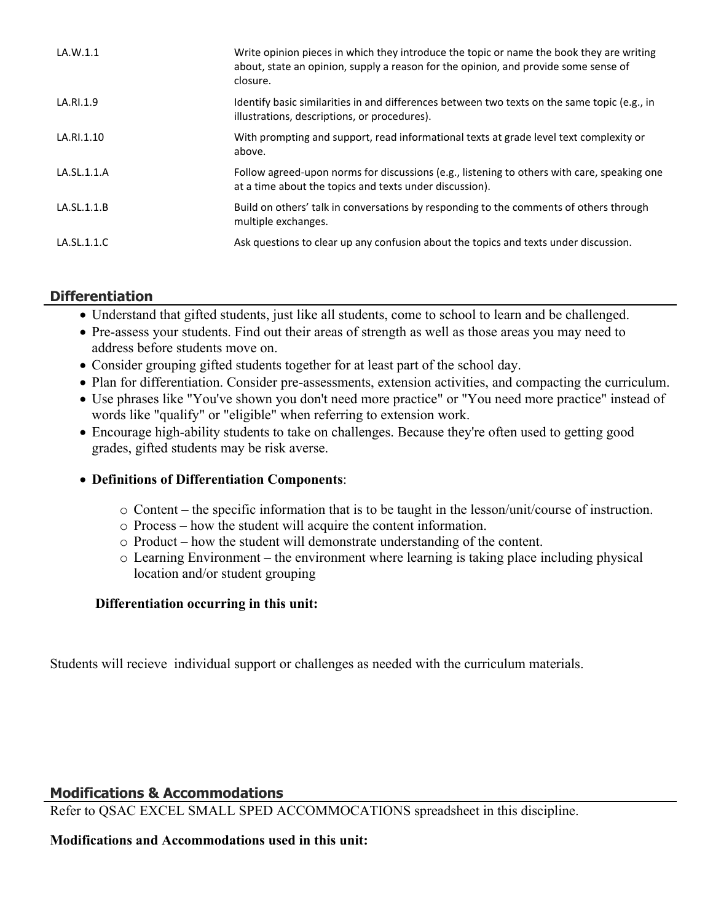| LA.W.1.1    | Write opinion pieces in which they introduce the topic or name the book they are writing<br>about, state an opinion, supply a reason for the opinion, and provide some sense of<br>closure. |
|-------------|---------------------------------------------------------------------------------------------------------------------------------------------------------------------------------------------|
| LA.RI.1.9   | Identify basic similarities in and differences between two texts on the same topic (e.g., in<br>illustrations, descriptions, or procedures).                                                |
| LA.RI.1.10  | With prompting and support, read informational texts at grade level text complexity or<br>above.                                                                                            |
| LA.SL.1.1.A | Follow agreed-upon norms for discussions (e.g., listening to others with care, speaking one<br>at a time about the topics and texts under discussion).                                      |
| LA.SL.1.1.B | Build on others' talk in conversations by responding to the comments of others through<br>multiple exchanges.                                                                               |
| LA.SL.1.1.C | Ask questions to clear up any confusion about the topics and texts under discussion.                                                                                                        |

# **Differentiation**

- Understand that gifted students, just like all students, come to school to learn and be challenged.
- Pre-assess your students. Find out their areas of strength as well as those areas you may need to address before students move on.
- Consider grouping gifted students together for at least part of the school day.
- Plan for differentiation. Consider pre-assessments, extension activities, and compacting the curriculum.
- Use phrases like "You've shown you don't need more practice" or "You need more practice" instead of words like "qualify" or "eligible" when referring to extension work.
- Encourage high-ability students to take on challenges. Because they're often used to getting good grades, gifted students may be risk averse.

#### **Definitions of Differentiation Components**:

- o Content the specific information that is to be taught in the lesson/unit/course of instruction.
- o Process how the student will acquire the content information.
- o Product how the student will demonstrate understanding of the content.
- o Learning Environment the environment where learning is taking place including physical location and/or student grouping

#### **Differentiation occurring in this unit:**

Students will recieve individual support or challenges as needed with the curriculum materials.

#### **Modifications & Accommodations**

Refer to QSAC EXCEL SMALL SPED ACCOMMOCATIONS spreadsheet in this discipline.

#### **Modifications and Accommodations used in this unit:**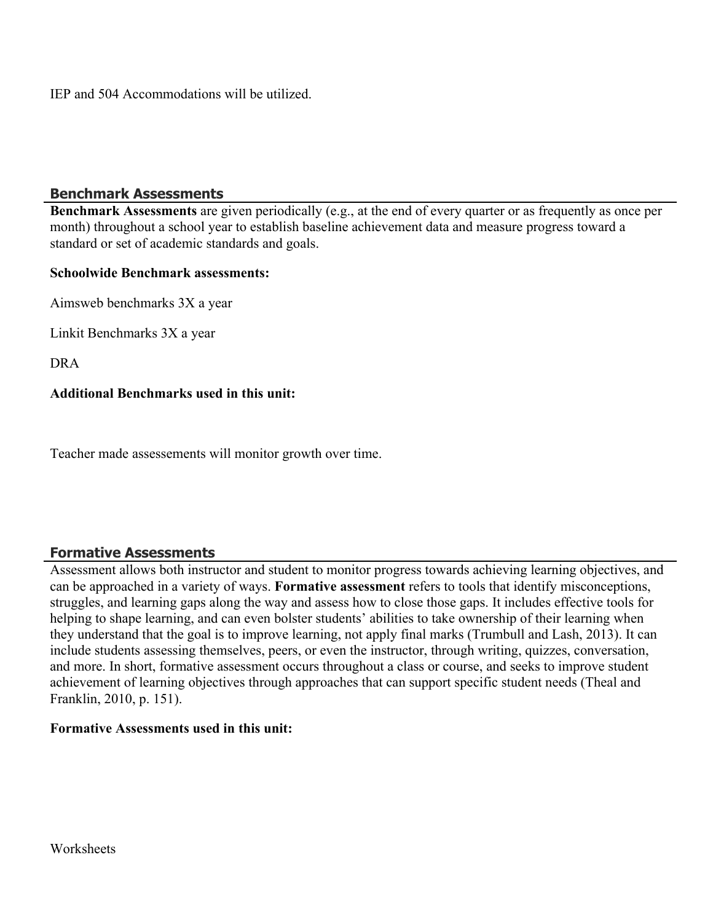IEP and 504 Accommodations will be utilized.

#### **Benchmark Assessments**

**Benchmark Assessments** are given periodically (e.g., at the end of every quarter or as frequently as once per month) throughout a school year to establish baseline achievement data and measure progress toward a standard or set of academic standards and goals.

#### **Schoolwide Benchmark assessments:**

Aimsweb benchmarks 3X a year

Linkit Benchmarks 3X a year

DRA

#### **Additional Benchmarks used in this unit:**

Teacher made assessements will monitor growth over time.

#### **Formative Assessments**

Assessment allows both instructor and student to monitor progress towards achieving learning objectives, and can be approached in a variety of ways. **Formative assessment** refers to tools that identify misconceptions, struggles, and learning gaps along the way and assess how to close those gaps. It includes effective tools for helping to shape learning, and can even bolster students' abilities to take ownership of their learning when they understand that the goal is to improve learning, not apply final marks (Trumbull and Lash, 2013). It can include students assessing themselves, peers, or even the instructor, through writing, quizzes, conversation, and more. In short, formative assessment occurs throughout a class or course, and seeks to improve student achievement of learning objectives through approaches that can support specific student needs (Theal and Franklin, 2010, p. 151).

#### **Formative Assessments used in this unit:**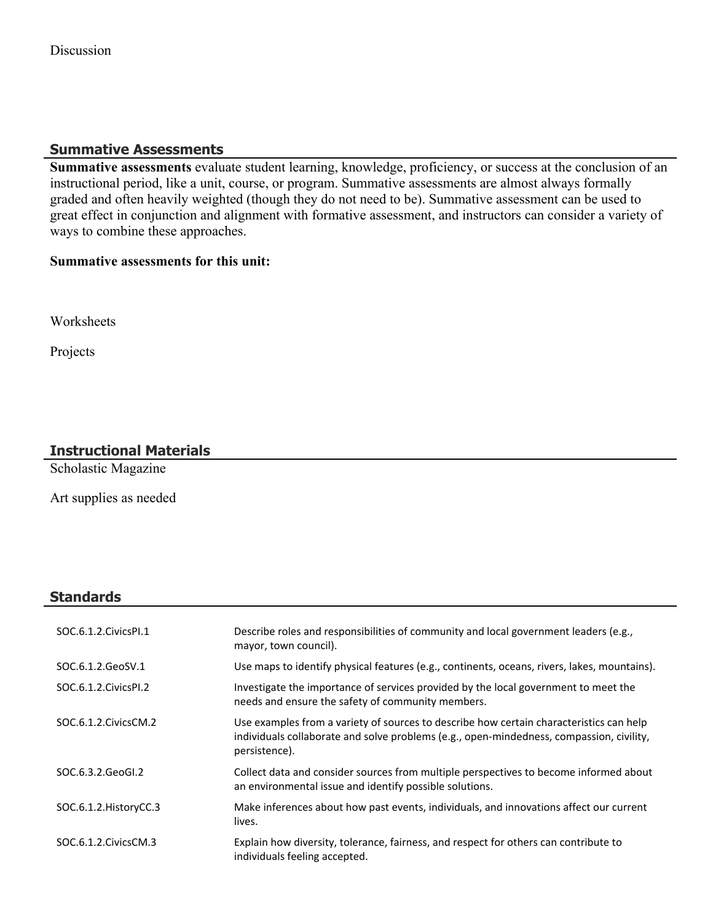# **Summative Assessments**

**Summative assessments** evaluate student learning, knowledge, proficiency, or success at the conclusion of an instructional period, like a unit, course, or program. Summative assessments are almost always formally graded and often heavily weighted (though they do not need to be). Summative assessment can be used to great effect in conjunction and alignment with formative assessment, and instructors can consider a variety of ways to combine these approaches.

## **Summative assessments for this unit:**

Worksheets

Projects

# **Instructional Materials**

Scholastic Magazine

Art supplies as needed

# **Standards**

| SOC.6.1.2. Civics PI.1 | Describe roles and responsibilities of community and local government leaders (e.g.,<br>mayor, town council).                                                                                        |
|------------------------|------------------------------------------------------------------------------------------------------------------------------------------------------------------------------------------------------|
| SOC.6.1.2.GeoSV.1      | Use maps to identify physical features (e.g., continents, oceans, rivers, lakes, mountains).                                                                                                         |
| SOC.6.1.2.CivicsPI.2   | Investigate the importance of services provided by the local government to meet the<br>needs and ensure the safety of community members.                                                             |
| SOC.6.1.2. Civics CM.2 | Use examples from a variety of sources to describe how certain characteristics can help<br>individuals collaborate and solve problems (e.g., open-mindedness, compassion, civility,<br>persistence). |
| SOC.6.3.2.GeoGI.2      | Collect data and consider sources from multiple perspectives to become informed about<br>an environmental issue and identify possible solutions.                                                     |
| SOC.6.1.2. HistoryCC.3 | Make inferences about how past events, individuals, and innovations affect our current<br>lives.                                                                                                     |
| SOC.6.1.2. Civics CM.3 | Explain how diversity, tolerance, fairness, and respect for others can contribute to<br>individuals feeling accepted.                                                                                |